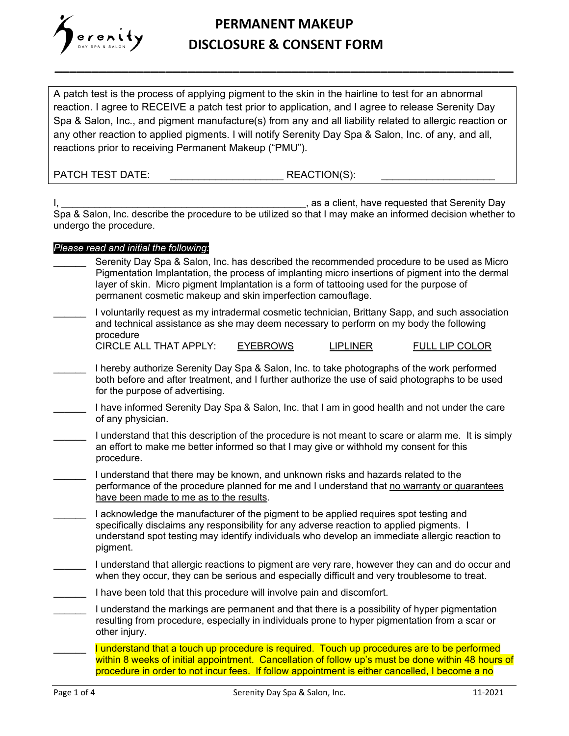

#### **PERMANENT MAKEUP DISCLOSURE & CONSENT FORM**

**\_\_\_\_\_\_\_\_\_\_\_\_\_\_\_\_\_\_\_\_\_\_\_\_\_\_\_\_\_\_\_\_\_\_\_\_\_\_\_\_\_\_\_\_\_\_\_\_\_\_\_\_\_\_\_\_\_\_\_\_\_\_**

A patch test is the process of applying pigment to the skin in the hairline to test for an abnormal reaction. I agree to RECEIVE a patch test prior to application, and I agree to release Serenity Day Spa & Salon, Inc., and pigment manufacture(s) from any and all liability related to allergic reaction or any other reaction to applied pigments. I will notify Serenity Day Spa & Salon, Inc. of any, and all, reactions prior to receiving Permanent Makeup ("PMU").

PATCH TEST DATE:  $\blacksquare$  REACTION(S):

I, the contract of the contract of the contract of the contract of the contract of the contract of the contract of the contract of the contract of the contract of the contract of the contract of the contract of the contrac Spa & Salon, Inc. describe the procedure to be utilized so that I may make an informed decision whether to undergo the procedure.

#### *Please read and initial the following:*

| Serenity Day Spa & Salon, Inc. has described the recommended procedure to be used as Micro<br>Pigmentation Implantation, the process of implanting micro insertions of pigment into the dermal<br>layer of skin. Micro pigment Implantation is a form of tattooing used for the purpose of<br>permanent cosmetic makeup and skin imperfection camouflage. |
|-----------------------------------------------------------------------------------------------------------------------------------------------------------------------------------------------------------------------------------------------------------------------------------------------------------------------------------------------------------|
| I voluntarily request as my intradermal cosmetic technician, Brittany Sapp, and such association<br>and technical assistance as she may deem necessary to perform on my body the following<br>procedure                                                                                                                                                   |
| <b>CIRCLE ALL THAT APPLY:</b><br><b>EYEBROWS</b><br><b>LIPLINER</b><br>FULL LIP COLOR                                                                                                                                                                                                                                                                     |
| I hereby authorize Serenity Day Spa & Salon, Inc. to take photographs of the work performed<br>both before and after treatment, and I further authorize the use of said photographs to be used<br>for the purpose of advertising.                                                                                                                         |
| I have informed Serenity Day Spa & Salon, Inc. that I am in good health and not under the care<br>of any physician.                                                                                                                                                                                                                                       |
| I understand that this description of the procedure is not meant to scare or alarm me. It is simply<br>an effort to make me better informed so that I may give or withhold my consent for this<br>procedure.                                                                                                                                              |
| I understand that there may be known, and unknown risks and hazards related to the<br>performance of the procedure planned for me and I understand that no warranty or guarantees<br>have been made to me as to the results.                                                                                                                              |
| I acknowledge the manufacturer of the pigment to be applied requires spot testing and<br>specifically disclaims any responsibility for any adverse reaction to applied pigments. I<br>understand spot testing may identify individuals who develop an immediate allergic reaction to<br>pigment.                                                          |
| I understand that allergic reactions to pigment are very rare, however they can and do occur and<br>when they occur, they can be serious and especially difficult and very troublesome to treat.                                                                                                                                                          |
| I have been told that this procedure will involve pain and discomfort.                                                                                                                                                                                                                                                                                    |
| I understand the markings are permanent and that there is a possibility of hyper pigmentation<br>resulting from procedure, especially in individuals prone to hyper pigmentation from a scar or<br>other injury.                                                                                                                                          |
| I understand that a touch up procedure is required. Touch up procedures are to be performed<br>within 8 weeks of initial appointment. Cancellation of follow up's must be done within 48 hours of<br>procedure in order to not incur fees. If follow appointment is either cancelled, I become a no                                                       |
|                                                                                                                                                                                                                                                                                                                                                           |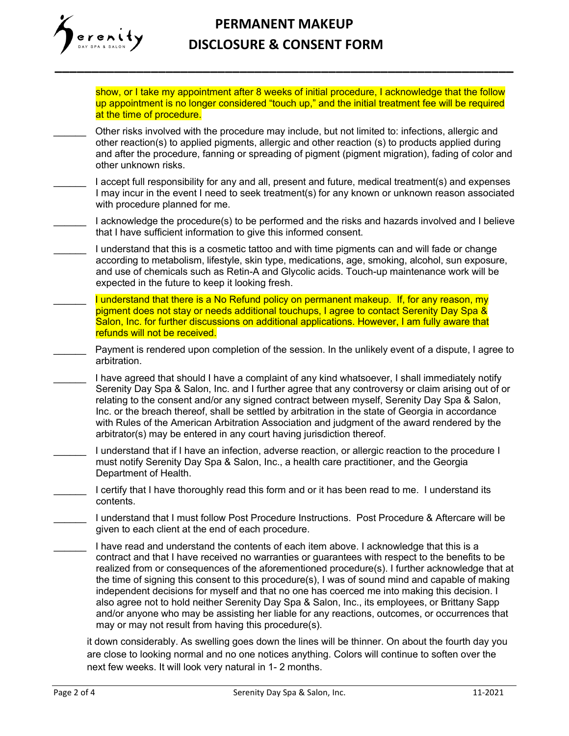# renity

## **PERMANENT MAKEUP DISCLOSURE & CONSENT FORM**

**\_\_\_\_\_\_\_\_\_\_\_\_\_\_\_\_\_\_\_\_\_\_\_\_\_\_\_\_\_\_\_\_\_\_\_\_\_\_\_\_\_\_\_\_\_\_\_\_\_\_\_\_\_\_\_\_\_\_\_\_\_\_**

show, or I take my appointment after 8 weeks of initial procedure, I acknowledge that the follow up appointment is no longer considered "touch up," and the initial treatment fee will be required at the time of procedure.

- \_\_\_\_\_\_ Other risks involved with the procedure may include, but not limited to: infections, allergic and other reaction(s) to applied pigments, allergic and other reaction (s) to products applied during and after the procedure, fanning or spreading of pigment (pigment migration), fading of color and other unknown risks.
- I accept full responsibility for any and all, present and future, medical treatment(s) and expenses I may incur in the event I need to seek treatment(s) for any known or unknown reason associated with procedure planned for me.
- I acknowledge the procedure(s) to be performed and the risks and hazards involved and I believe that I have sufficient information to give this informed consent.
- I understand that this is a cosmetic tattoo and with time pigments can and will fade or change according to metabolism, lifestyle, skin type, medications, age, smoking, alcohol, sun exposure, and use of chemicals such as Retin-A and Glycolic acids. Touch-up maintenance work will be expected in the future to keep it looking fresh.
- I understand that there is a No Refund policy on permanent makeup. If, for any reason, my pigment does not stay or needs additional touchups, I agree to contact Serenity Day Spa & Salon, Inc. for further discussions on additional applications. However, I am fully aware that refunds will not be received.
	- Payment is rendered upon completion of the session. In the unlikely event of a dispute, I agree to arbitration.
	- I have agreed that should I have a complaint of any kind whatsoever, I shall immediately notify Serenity Day Spa & Salon, Inc. and I further agree that any controversy or claim arising out of or relating to the consent and/or any signed contract between myself, Serenity Day Spa & Salon, Inc. or the breach thereof, shall be settled by arbitration in the state of Georgia in accordance with Rules of the American Arbitration Association and judgment of the award rendered by the arbitrator(s) may be entered in any court having jurisdiction thereof.
- I understand that if I have an infection, adverse reaction, or allergic reaction to the procedure I must notify Serenity Day Spa & Salon, Inc., a health care practitioner, and the Georgia Department of Health.
- I certify that I have thoroughly read this form and or it has been read to me. I understand its contents.
- \_\_\_\_\_\_ I understand that I must follow Post Procedure Instructions. Post Procedure & Aftercare will be given to each client at the end of each procedure.
- I have read and understand the contents of each item above. I acknowledge that this is a contract and that I have received no warranties or guarantees with respect to the benefits to be realized from or consequences of the aforementioned procedure(s). I further acknowledge that at the time of signing this consent to this procedure(s), I was of sound mind and capable of making independent decisions for myself and that no one has coerced me into making this decision. I also agree not to hold neither Serenity Day Spa & Salon, Inc., its employees, or Brittany Sapp and/or anyone who may be assisting her liable for any reactions, outcomes, or occurrences that may or may not result from having this procedure(s).

it down considerably. As swelling goes down the lines will be thinner. On about the fourth day you are close to looking normal and no one notices anything. Colors will continue to soften over the next few weeks. It will look very natural in 1- 2 months.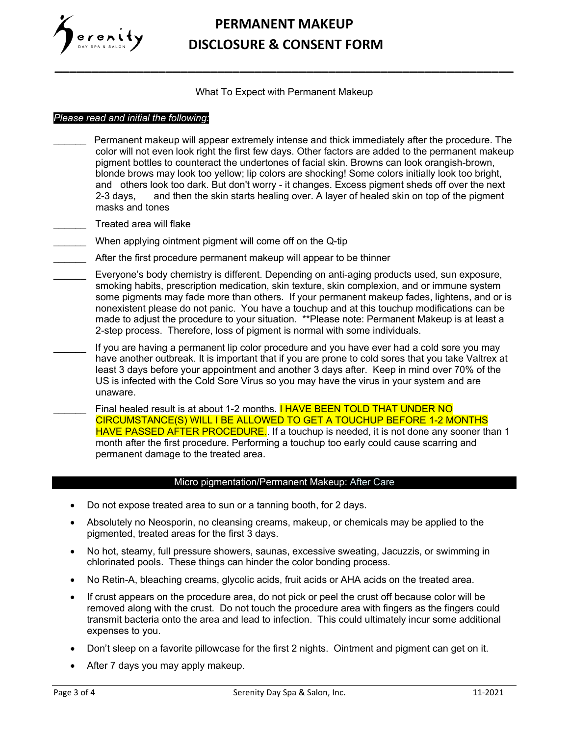

## **PERMANENT MAKEUP DISCLOSURE & CONSENT FORM**

What To Expect with Permanent Makeup

**\_\_\_\_\_\_\_\_\_\_\_\_\_\_\_\_\_\_\_\_\_\_\_\_\_\_\_\_\_\_\_\_\_\_\_\_\_\_\_\_\_\_\_\_\_\_\_\_\_\_\_\_\_\_\_\_\_\_\_\_\_\_**

#### *Please read and initial the following:*

- Permanent makeup will appear extremely intense and thick immediately after the procedure. The color will not even look right the first few days. Other factors are added to the permanent makeup pigment bottles to counteract the undertones of facial skin. Browns can look orangish-brown, blonde brows may look too yellow; lip colors are shocking! Some colors initially look too bright, and others look too dark. But don't worry - it changes. Excess pigment sheds off over the next 2-3 days, and then the skin starts healing over. A layer of healed skin on top of the pigment masks and tones
- Treated area will flake
	- When applying ointment pigment will come off on the Q-tip
- After the first procedure permanent makeup will appear to be thinner
- \_\_\_\_\_\_ Everyone's body chemistry is different. Depending on anti-aging products used, sun exposure, smoking habits, prescription medication, skin texture, skin complexion, and or immune system some pigments may fade more than others. If your permanent makeup fades, lightens, and or is nonexistent please do not panic. You have a touchup and at this touchup modifications can be made to adjust the procedure to your situation. \*\*Please note: Permanent Makeup is at least a 2-step process. Therefore, loss of pigment is normal with some individuals.
	- If you are having a permanent lip color procedure and you have ever had a cold sore you may have another outbreak. It is important that if you are prone to cold sores that you take Valtrex at least 3 days before your appointment and another 3 days after. Keep in mind over 70% of the US is infected with the Cold Sore Virus so you may have the virus in your system and are unaware.
		- Final healed result is at about 1-2 months. **I HAVE BEEN TOLD THAT UNDER NO** CIRCUMSTANCE(S) WILL I BE ALLOWED TO GET A TOUCHUP BEFORE 1-2 MONTHS HAVE PASSED AFTER PROCEDURE.. If a touchup is needed, it is not done any sooner than 1 month after the first procedure. Performing a touchup too early could cause scarring and permanent damage to the treated area.

#### Micro pigmentation/Permanent Makeup: After Care

- Do not expose treated area to sun or a tanning booth, for 2 days.
- Absolutely no Neosporin, no cleansing creams, makeup, or chemicals may be applied to the pigmented, treated areas for the first 3 days.
- No hot, steamy, full pressure showers, saunas, excessive sweating, Jacuzzis, or swimming in chlorinated pools. These things can hinder the color bonding process.
- No Retin-A, bleaching creams, glycolic acids, fruit acids or AHA acids on the treated area.
- If crust appears on the procedure area, do not pick or peel the crust off because color will be removed along with the crust. Do not touch the procedure area with fingers as the fingers could transmit bacteria onto the area and lead to infection. This could ultimately incur some additional expenses to you.
- Don't sleep on a favorite pillowcase for the first 2 nights. Ointment and pigment can get on it.
- After 7 days you may apply makeup.